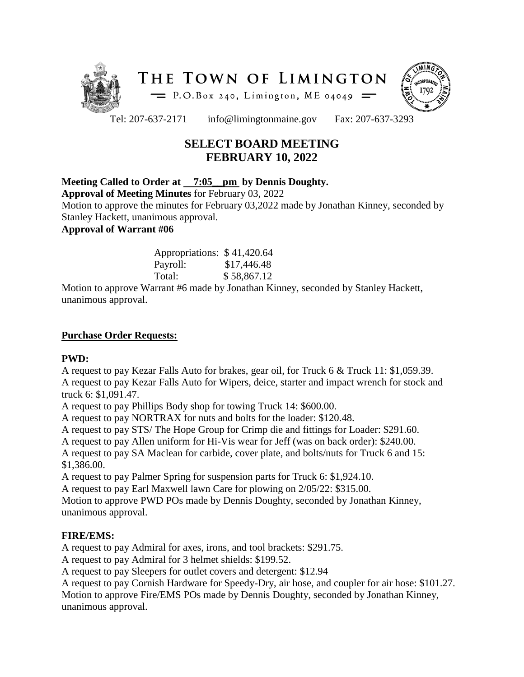



Tel: 207-637-2171 info@limingtonmaine.gov Fax: 207-637-3293

# **SELECT BOARD MEETING FEBRUARY 10, 2022**

# **Meeting Called to Order at 7:05\_\_pm by Dennis Doughty.**

**Approval of Meeting Minutes** for February 03, 2022

Motion to approve the minutes for February 03,2022 made by Jonathan Kinney, seconded by Stanley Hackett, unanimous approval.

# **Approval of Warrant #06**

| Appropriations: \$41,420.64 |             |
|-----------------------------|-------------|
| Payroll:                    | \$17,446.48 |
| Total:                      | \$58,867.12 |

Motion to approve Warrant #6 made by Jonathan Kinney, seconded by Stanley Hackett, unanimous approval.

## **Purchase Order Requests:**

#### **PWD:**

A request to pay Kezar Falls Auto for brakes, gear oil, for Truck 6 & Truck 11: \$1,059.39. A request to pay Kezar Falls Auto for Wipers, deice, starter and impact wrench for stock and truck 6: \$1,091.47.

A request to pay Phillips Body shop for towing Truck 14: \$600.00.

A request to pay NORTRAX for nuts and bolts for the loader: \$120.48.

A request to pay STS/ The Hope Group for Crimp die and fittings for Loader: \$291.60.

A request to pay Allen uniform for Hi-Vis wear for Jeff (was on back order): \$240.00.

A request to pay SA Maclean for carbide, cover plate, and bolts/nuts for Truck 6 and 15: \$1,386.00.

A request to pay Palmer Spring for suspension parts for Truck 6: \$1,924.10.

A request to pay Earl Maxwell lawn Care for plowing on 2/05/22: \$315.00.

Motion to approve PWD POs made by Dennis Doughty, seconded by Jonathan Kinney, unanimous approval.

#### **FIRE/EMS:**

A request to pay Admiral for axes, irons, and tool brackets: \$291.75.

A request to pay Admiral for 3 helmet shields: \$199.52.

A request to pay Sleepers for outlet covers and detergent: \$12.94

A request to pay Cornish Hardware for Speedy-Dry, air hose, and coupler for air hose: \$101.27. Motion to approve Fire/EMS POs made by Dennis Doughty, seconded by Jonathan Kinney, unanimous approval.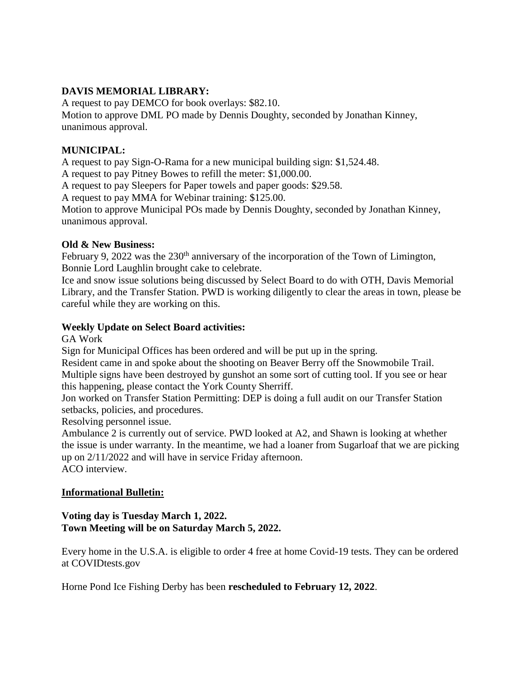## **DAVIS MEMORIAL LIBRARY:**

A request to pay DEMCO for book overlays: \$82.10. Motion to approve DML PO made by Dennis Doughty, seconded by Jonathan Kinney, unanimous approval.

#### **MUNICIPAL:**

A request to pay Sign-O-Rama for a new municipal building sign: \$1,524.48.

A request to pay Pitney Bowes to refill the meter: \$1,000.00.

A request to pay Sleepers for Paper towels and paper goods: \$29.58.

A request to pay MMA for Webinar training: \$125.00.

Motion to approve Municipal POs made by Dennis Doughty, seconded by Jonathan Kinney, unanimous approval.

#### **Old & New Business:**

February 9, 2022 was the 230<sup>th</sup> anniversary of the incorporation of the Town of Limington, Bonnie Lord Laughlin brought cake to celebrate.

Ice and snow issue solutions being discussed by Select Board to do with OTH, Davis Memorial Library, and the Transfer Station. PWD is working diligently to clear the areas in town, please be careful while they are working on this.

#### **Weekly Update on Select Board activities:**

GA Work

Sign for Municipal Offices has been ordered and will be put up in the spring.

Resident came in and spoke about the shooting on Beaver Berry off the Snowmobile Trail. Multiple signs have been destroyed by gunshot an some sort of cutting tool. If you see or hear this happening, please contact the York County Sherriff.

Jon worked on Transfer Station Permitting: DEP is doing a full audit on our Transfer Station setbacks, policies, and procedures.

Resolving personnel issue.

Ambulance 2 is currently out of service. PWD looked at A2, and Shawn is looking at whether the issue is under warranty. In the meantime, we had a loaner from Sugarloaf that we are picking up on 2/11/2022 and will have in service Friday afternoon. ACO interview.

#### **Informational Bulletin:**

#### **Voting day is Tuesday March 1, 2022. Town Meeting will be on Saturday March 5, 2022.**

Every home in the U.S.A. is eligible to order 4 free at home Covid-19 tests. They can be ordered at COVIDtests.gov

Horne Pond Ice Fishing Derby has been **rescheduled to February 12, 2022**.